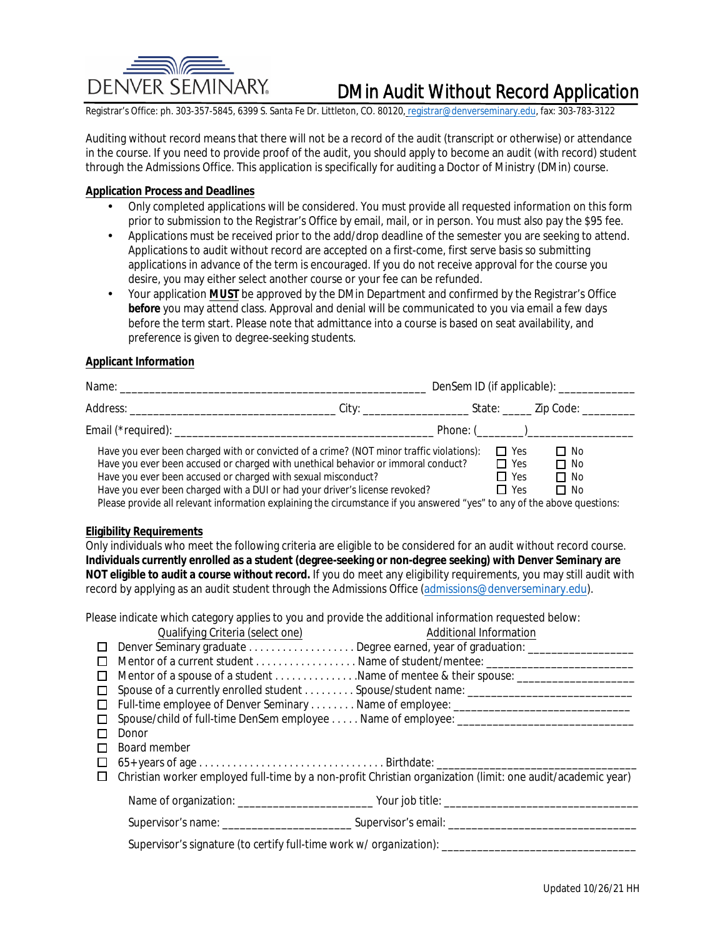

# **DMin Audit Without Record Application**

Registrar's Office: ph. 303-357-5845, 6399 S. Santa Fe Dr. Littleton, CO. 80120, registrar@denverseminary.edu, fax: 303-783-3122

Auditing without record means that there will not be a record of the audit (transcript or otherwise) or attendance in the course. If you need to provide proof of the audit, you should apply to become an audit (with record) student through the Admissions Office. This application is specifically for auditing a Doctor of Ministry (DMin) course.

### **Application Process and Deadlines**

- Only completed applications will be considered. You must provide all requested information on this form prior to submission to the Registrar's Office by email, mail, or in person. You must also pay the \$95 fee.
- Applications must be received prior to the add/drop deadline of the semester you are seeking to attend. Applications to audit without record are accepted on a first-come, first serve basis so submitting applications in advance of the term is encouraged. If you do not receive approval for the course you desire, you may either select another course or your fee can be refunded.
- Your application MUST be approved by the DMin Department and confirmed by the Registrar's Office  $\bullet$ before you may attend class. Approval and denial will be communicated to you via email a few days before the term start. Please note that admittance into a course is based on seat availability, and preference is given to degree-seeking students.

### **Applicant Information**

|                                                                                                                                                                               |  |                          | Phone: $(\_\_)$        |
|-------------------------------------------------------------------------------------------------------------------------------------------------------------------------------|--|--------------------------|------------------------|
| Have you ever been charged with or convicted of a crime? (NOT minor traffic violations):<br>Have you ever been accused or charged with unethical behavior or immoral conduct? |  | $\Box$ Yes<br>$\Box$ Yes | $\Box$ No<br>$\Box$ No |
| Have you ever been accused or charged with sexual misconduct?<br>Have you ever been charged with a DUI or had your driver's license revoked?                                  |  | $\Box$ Yes<br>$\Box$ Yes | $\Box$ No<br>$\Box$ No |

Please provide all relevant information explaining the circumstance if you answered "yes" to any of the above questions:

### **Eligibility Requirements**

Only individuals who meet the following criteria are eligible to be considered for an audit without record course. Individuals currently enrolled as a student (degree-seeking or non-degree seeking) with Denver Seminary are NOT eligible to audit a course without record. If you do meet any eligibility requirements, you may still audit with record by applying as an audit student through the Admissions Office (admissions@denverseminary.edu).

Please indicate which category applies to you and provide the additional information requested below:

|        | Qualifying Criteria (select one)                                                                    | <b>Additional Information</b>                                                                               |  |  |  |
|--------|-----------------------------------------------------------------------------------------------------|-------------------------------------------------------------------------------------------------------------|--|--|--|
| $\Box$ |                                                                                                     |                                                                                                             |  |  |  |
|        |                                                                                                     |                                                                                                             |  |  |  |
| ப      |                                                                                                     |                                                                                                             |  |  |  |
|        |                                                                                                     | Spouse of a currently enrolled student  Spouse/student name: ______________________________                 |  |  |  |
| П      |                                                                                                     |                                                                                                             |  |  |  |
| □      |                                                                                                     | Spouse/child of full-time DenSem employee Name of employee: ______________________________                  |  |  |  |
|        | Donor                                                                                               |                                                                                                             |  |  |  |
|        | <b>Board member</b>                                                                                 |                                                                                                             |  |  |  |
|        |                                                                                                     |                                                                                                             |  |  |  |
| Ш      |                                                                                                     | Christian worker employed full-time by a non-profit Christian organization (limit: one audit/academic year) |  |  |  |
|        |                                                                                                     |                                                                                                             |  |  |  |
|        |                                                                                                     |                                                                                                             |  |  |  |
|        | Supervisor's signature (to certify full-time work w/organization): ________________________________ |                                                                                                             |  |  |  |